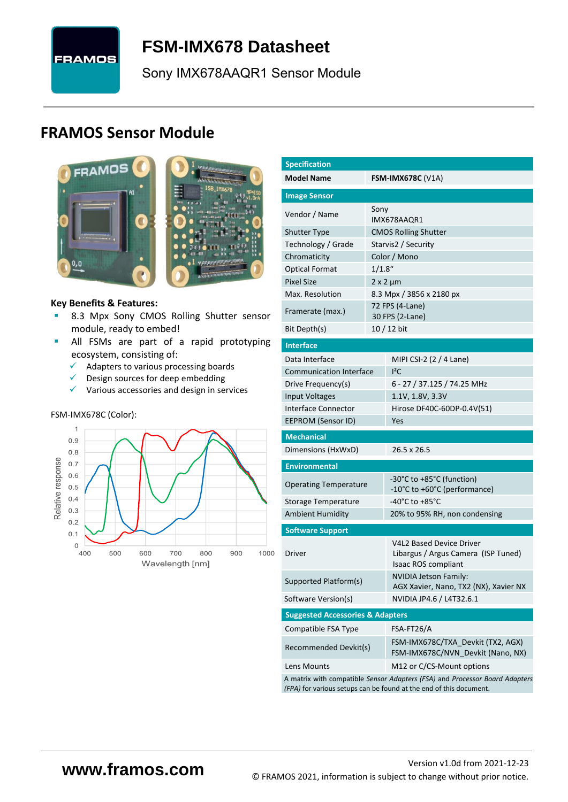

# <span id="page-0-7"></span>**FSM-IMX678 [Datasheet](#page-0-0)**

[Sony](#page-0-1) [IMX678AAQR1](#page-0-2) Sensor Module

# **FRAMOS Sensor Module**



<span id="page-0-3"></span><span id="page-0-0"></span>

#### **Key Benefits & Features:**

- **B.3 Mpx [Sony](#page-0-1) [CMOS Rolling Shutter](#page-0-5) sensor** module, ready to embed!
- **E** All FSMs are part of a rapid prototyping ecosystem, consisting of:
	- ✓ Adapters to various processing boards
	- ✓ Design sources for deep embedding
	- $\checkmark$  Various accessories and design in services

#### FSM-IMX678C (Color):



<span id="page-0-6"></span><span id="page-0-5"></span><span id="page-0-4"></span><span id="page-0-2"></span><span id="page-0-1"></span>

| <b>Specification</b>                        |           |                                                                                                                                                   |  |  |  |  |
|---------------------------------------------|-----------|---------------------------------------------------------------------------------------------------------------------------------------------------|--|--|--|--|
| <b>Model Name</b>                           |           | <b>FSM-IMX678C (V1A)</b>                                                                                                                          |  |  |  |  |
|                                             |           |                                                                                                                                                   |  |  |  |  |
| <b>Image Sensor</b>                         |           |                                                                                                                                                   |  |  |  |  |
| Vendor / Name                               | Sony      | IMX678AAQR1                                                                                                                                       |  |  |  |  |
| <b>Shutter Type</b>                         |           | <b>CMOS Rolling Shutter</b>                                                                                                                       |  |  |  |  |
| Technology / Grade                          |           | Starvis2 / Security                                                                                                                               |  |  |  |  |
| Chromaticity                                |           | Color / Mono                                                                                                                                      |  |  |  |  |
| <b>Optical Format</b>                       | $1/1.8$ " |                                                                                                                                                   |  |  |  |  |
| <b>Pixel Size</b>                           |           | $2 \times 2 \mu m$                                                                                                                                |  |  |  |  |
| Max. Resolution                             |           | 8.3 Mpx / 3856 x 2180 px                                                                                                                          |  |  |  |  |
| Framerate (max.)                            |           | 72 FPS (4-Lane)<br>30 FPS (2-Lane)                                                                                                                |  |  |  |  |
| Bit Depth(s)                                |           | 10 / 12 bit                                                                                                                                       |  |  |  |  |
| <b>Interface</b>                            |           |                                                                                                                                                   |  |  |  |  |
| Data Interface                              |           | MIPI CSI-2 (2 / 4 Lane)                                                                                                                           |  |  |  |  |
| <b>Communication Interface</b>              |           | $I^2C$                                                                                                                                            |  |  |  |  |
| Drive Frequency(s)                          |           | 6 - 27 / 37.125 / 74.25 MHz                                                                                                                       |  |  |  |  |
| <b>Input Voltages</b>                       |           | 1.1V, 1.8V, 3.3V                                                                                                                                  |  |  |  |  |
| Interface Connector                         |           | Hirose DF40C-60DP-0.4V(51)                                                                                                                        |  |  |  |  |
| <b>EEPROM (Sensor ID)</b>                   |           | Yes                                                                                                                                               |  |  |  |  |
| <b>Mechanical</b>                           |           |                                                                                                                                                   |  |  |  |  |
| Dimensions (HxWxD)                          |           | 26.5 x 26.5                                                                                                                                       |  |  |  |  |
| <b>Environmental</b>                        |           |                                                                                                                                                   |  |  |  |  |
| <b>Operating Temperature</b>                |           | -30°C to +85°C (function)<br>-10°C to +60°C (performance)                                                                                         |  |  |  |  |
| Storage Temperature                         |           | -40°C to +85°C                                                                                                                                    |  |  |  |  |
| <b>Ambient Humidity</b>                     |           | 20% to 95% RH, non condensing                                                                                                                     |  |  |  |  |
| <b>Software Support</b>                     |           |                                                                                                                                                   |  |  |  |  |
| Driver                                      |           | <b>V4L2 Based Device Driver</b><br>Libargus / Argus Camera (ISP Tuned)<br><b>Isaac ROS compliant</b>                                              |  |  |  |  |
| Supported Platform(s)                       |           | <b>NVIDIA Jetson Family:</b><br>AGX Xavier, Nano, TX2 (NX), Xavier NX                                                                             |  |  |  |  |
| Software Version(s)                         |           | NVIDIA JP4.6 / L4T32.6.1                                                                                                                          |  |  |  |  |
| <b>Suggested Accessories &amp; Adapters</b> |           |                                                                                                                                                   |  |  |  |  |
| Compatible FSA Type                         |           | FSA-FT26/A                                                                                                                                        |  |  |  |  |
| Recommended Devkit(s)                       |           | FSM-IMX678C/TXA_Devkit (TX2, AGX)<br>FSM-IMX678C/NVN_Devkit (Nano, NX)                                                                            |  |  |  |  |
| Lens Mounts                                 |           | M12 or C/CS-Mount options                                                                                                                         |  |  |  |  |
|                                             |           | A matrix with compatible Sensor Adapters (FSA) and Processor Board Adapters<br>(FPA) for various setups can be found at the end of this document. |  |  |  |  |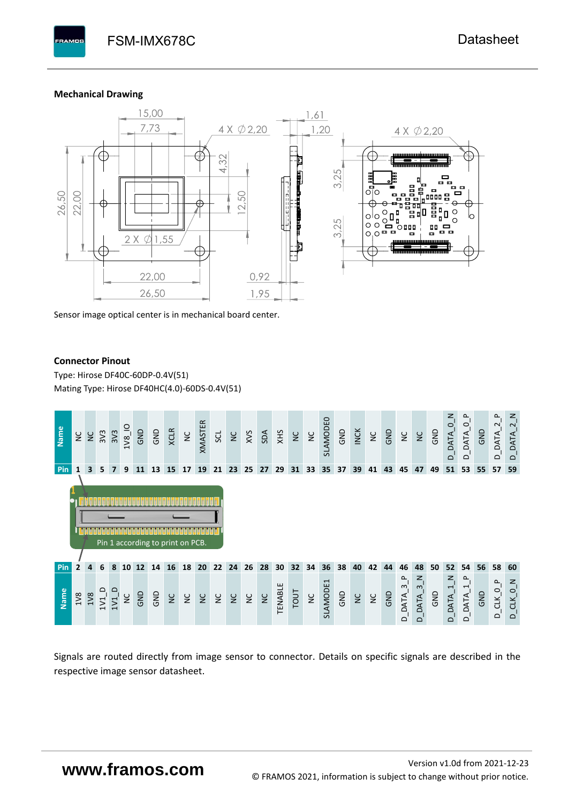#### **Mechanical Drawing**

**PAMOS** 



Sensor image optical center is in mechanical board center.

#### **Connector Pinout**

Type: [Hirose DF40C-60DP-0.4V\(51](#page-0-6)[\)](#page-0-6)  Mating Type: Hirose DF40HC(4.0)-60DS-0.4V(51)



Signals are routed directly from image sensor to connector. Details on specific signals are described in the respective image sensor datasheet.

# **www.framos.com**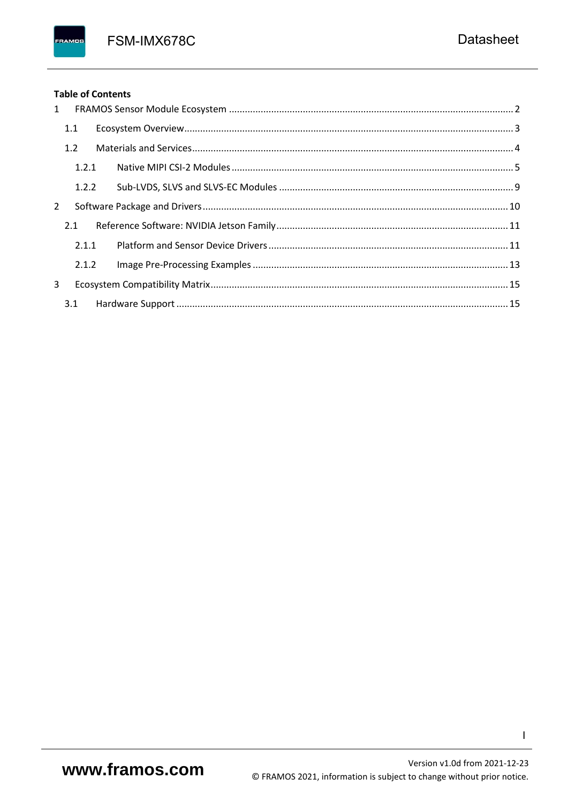FSM-IMX678C

### **Table of Contents**

FRAMOS

| 1              |       |  |
|----------------|-------|--|
|                | 1.1   |  |
|                | 1.2   |  |
|                | 1.2.1 |  |
|                | 1.2.2 |  |
| $\overline{2}$ |       |  |
|                | 2.1   |  |
|                | 2.1.1 |  |
|                | 2.1.2 |  |
| 3              |       |  |
|                | 3.1   |  |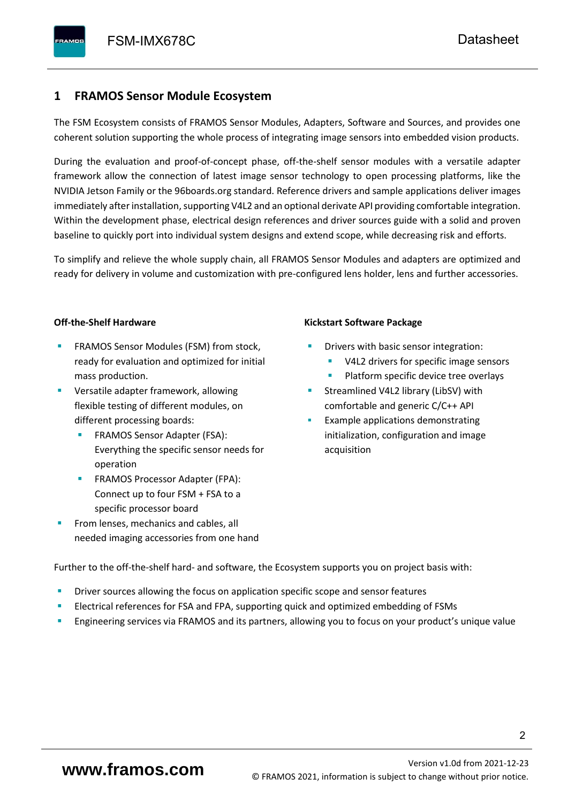## <span id="page-3-0"></span>**1 FRAMOS Sensor Module Ecosystem**

The FSM Ecosystem consists of FRAMOS Sensor Modules, Adapters, Software and Sources, and provides one coherent solution supporting the whole process of integrating image sensors into embedded vision products.

During the evaluation and proof-of-concept phase, off-the-shelf sensor modules with a versatile adapter framework allow the connection of latest image sensor technology to open processing platforms, like the NVIDIA Jetson Family or the 96boards.org standard. Reference drivers and sample applications deliver images immediately after installation, supporting V4L2 and an optional derivate API providing comfortable integration. Within the development phase, electrical design references and driver sources guide with a solid and proven baseline to quickly port into individual system designs and extend scope, while decreasing risk and efforts.

To simplify and relieve the whole supply chain, all FRAMOS Sensor Modules and adapters are optimized and ready for delivery in volume and customization with pre-configured lens holder, lens and further accessories.

#### **Off-the-Shelf Hardware**

- FRAMOS Sensor Modules (FSM) from stock, ready for evaluation and optimized for initial mass production.
- Versatile adapter framework, allowing flexible testing of different modules, on different processing boards:
	- FRAMOS Sensor Adapter (FSA): Everything the specific sensor needs for operation
	- FRAMOS Processor Adapter (FPA): Connect up to four FSM + FSA to a specific processor board
- From lenses, mechanics and cables, all needed imaging accessories from one hand

#### **Kickstart Software Package**

- Drivers with basic sensor integration:
	- V4L2 drivers for specific image sensors
	- Platform specific device tree overlays
- Streamlined V4L2 library (LibSV) with comfortable and generic C/C++ API
- Example applications demonstrating initialization, configuration and image acquisition

Further to the off-the-shelf hard- and software, the Ecosystem supports you on project basis with:

- Driver sources allowing the focus on application specific scope and sensor features
- Electrical references for FSA and FPA, supporting quick and optimized embedding of FSMs
- Engineering services via FRAMOS and its partners, allowing you to focus on your product's unique value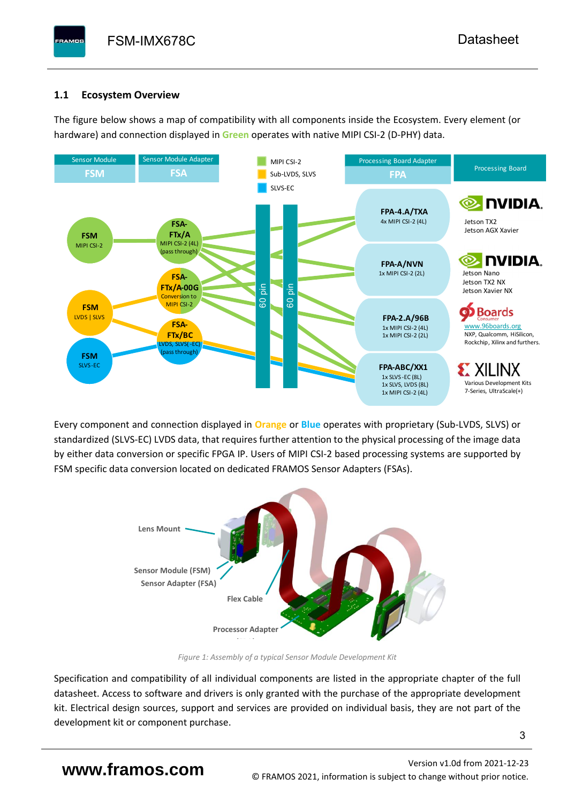# <span id="page-4-0"></span>**1.1 Ecosystem Overview**

**PAMOS** 

The figure below shows a map of compatibility with all components inside the Ecosystem. Every element (or hardware) and connection displayed in **Green** operates with native MIPI CSI-2 (D-PHY) data.



Every component and connection displayed in **Orange** or **Blue** operates with proprietary (Sub-LVDS, SLVS) or standardized (SLVS-EC) LVDS data, that requires further attention to the physical processing of the image data by either data conversion or specific FPGA IP. Users of MIPI CSI-2 based processing systems are supported by FSM specific data conversion located on dedicated FRAMOS Sensor Adapters (FSAs).



*Figure 1: Assembly of a typical Sensor Module Development Kit*

Specification and compatibility of all individual components are listed in the appropriate chapter of the full datasheet. Access to software and drivers is only granted with the purchase of the appropriate development kit. Electrical design sources, support and services are provided on individual basis, they are not part of the development kit or component purchase.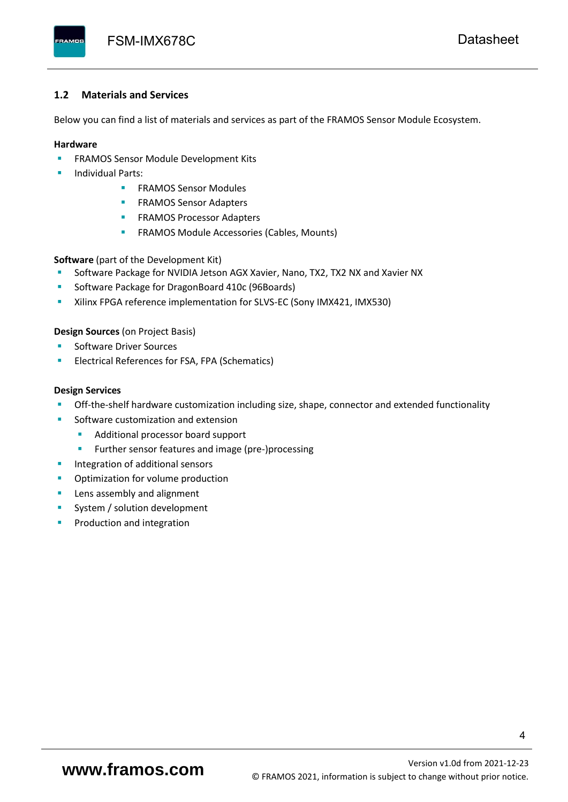#### <span id="page-5-0"></span>**1.2 Materials and Services**

Below you can find a list of materials and services as part of the FRAMOS Sensor Module Ecosystem.

#### **Hardware**

- **EXECTED FRAMOS Sensor Module Development Kits**
- **Individual Parts:** 
	- FRAMOS Sensor Modules
	- **FRAMOS Sensor Adapters**
	- **EXAMOS Processor Adapters**
	- **EXECTED** FRAMOS Module Accessories (Cables, Mounts)

**Software** (part of the Development Kit)

- Software Package for NVIDIA Jetson AGX Xavier, Nano, TX2, TX2 NX and Xavier NX
- Software Package for DragonBoard 410c (96Boards)
- **E** Xilinx FPGA reference implementation for SLVS-EC (Sony IMX421, IMX530)

#### **Design Sources** (on Project Basis)

- Software Driver Sources
- Electrical References for FSA, FPA (Schematics)

#### **Design Services**

- Off-the-shelf hardware customization including size, shape, connector and extended functionality
- Software customization and extension
	- Additional processor board support
	- Further sensor features and image (pre-)processing
- **■** Integration of additional sensors
- Optimization for volume production
- Lens assembly and alignment
- System / solution development
- Production and integration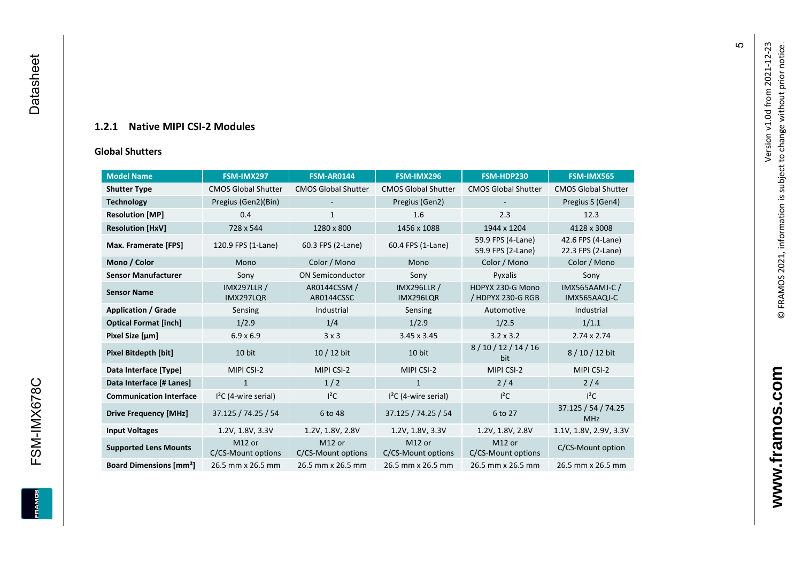### **1.2.1 Native MIPI CSI - 2 Modules**

#### **[Global Shu](#page-0-7)tters**

<span id="page-6-0"></span>

| <b>Model Name</b>                        | FSM-IMX297                      | <b>FSM-AR0144</b>            | FSM-IMX296                      | FSM-HDP230                             | FSM-IMX565                             |
|------------------------------------------|---------------------------------|------------------------------|---------------------------------|----------------------------------------|----------------------------------------|
| <b>Shutter Type</b>                      | <b>CMOS Global Shutter</b>      | <b>CMOS Global Shutter</b>   | <b>CMOS Global Shutter</b>      | <b>CMOS Global Shutter</b>             | <b>CMOS Global Shutter</b>             |
| <b>Technology</b>                        | Pregius (Gen2)(Bin)             |                              | Pregius (Gen2)                  |                                        | Pregius S (Gen4)                       |
| <b>Resolution [MP]</b>                   | 0.4                             | 1                            | 1.6                             | 2.3                                    | 12.3                                   |
| <b>Resolution [HxV]</b>                  | 728 x 544                       | 1280 x 800                   | 1456 x 1088                     | 1944 x 1204                            | 4128 x 3008                            |
| Max. Framerate [FPS]                     | 120.9 FPS (1-Lane)              | 60.3 FPS (2-Lane)            | 60.4 FPS (1-Lane)               | 59.9 FPS (4-Lane)<br>59.9 FPS (2-Lane) | 42.6 FPS (4-Lane)<br>22.3 FPS (2-Lane) |
| Mono / Color                             | Mono                            | Color / Mono                 | Mono                            | Color / Mono                           | Color / Mono                           |
| <b>Sensor Manufacturer</b>               | Sony                            | <b>ON Semiconductor</b>      | Sony                            | Pyxalis                                | Sony                                   |
| <b>Sensor Name</b>                       | <b>IMX297LLR /</b><br>IMX297LQR | AR0144CSSM /<br>AR0144CSSC   | <b>IMX296LLR /</b><br>IMX296LQR | HDPYX 230-G Mono<br>/ HDPYX 230-G RGB  | IMX565AAMJ-C /<br>IMX565AAQJ-C         |
| <b>Application / Grade</b>               | Sensing                         | Industrial                   | Sensing                         | Automotive                             | Industrial                             |
| <b>Optical Format [inch]</b>             | 1/2.9                           | 1/4                          | 1/2.9                           | 1/2.5                                  | 1/1.1                                  |
| Pixel Size [µm]                          | $6.9 \times 6.9$                | 3x3                          | 3.45 x 3.45                     | $3.2 \times 3.2$                       | $2.74 \times 2.74$                     |
| <b>Pixel Bitdepth [bit]</b>              | 10 bit                          | 10 / 12 bit                  | 10 bit                          | 8/10/12/14/16<br>bit                   | 8/10/12 bit                            |
| Data Interface [Type]                    | MIPI CSI-2                      | MIPI CSI-2                   | MIPI CSI-2                      | MIPI CSI-2                             | MIPI CSI-2                             |
| Data Interface [# Lanes]                 | $\mathbf{1}$                    | 1/2                          | $\mathbf{1}$                    | 2/4                                    | 2/4                                    |
| <b>Communication Interface</b>           | $I2C$ (4-wire serial)           | $l^2C$                       | $I2C$ (4-wire serial)           | $l^2C$                                 | $I^2C$                                 |
| <b>Drive Frequency [MHz]</b>             | 37.125 / 74.25 / 54             | 6 to 48                      | 37.125 / 74.25 / 54             | 6 to 27                                | 37.125 / 54 / 74.25<br><b>MHz</b>      |
| <b>Input Voltages</b>                    | 1.2V, 1.8V, 3.3V                | 1.2V, 1.8V, 2.8V             | 1.2V, 1.8V, 3.3V                | 1.2V, 1.8V, 2.8V                       | 1.1V, 1.8V, 2.9V, 3.3V                 |
| <b>Supported Lens Mounts</b>             | M12 or<br>C/CS-Mount options    | M12 or<br>C/CS-Mount options | M12 or<br>C/CS-Mount options    | M12 or<br>C/CS-Mount options           | C/CS-Mount option                      |
| <b>Board Dimensions [mm<sup>2</sup>]</b> | 26.5 mm x 26.5 mm               | 26.5 mm x 26.5 mm            | 26.5 mm x 26.5 mm               | 26.5 mm x 26.5 mm                      | 26.5 mm x 26.5 mm                      |

Version v1.0d from 2021-12-23

© FRAMOS 2021, information i[s su](mailto:sales@framos.de)bject to change without prior notice.

Version v1.0d from 2021-12-23<br>© FRAMOS 2021, information is subject to change without prior notice.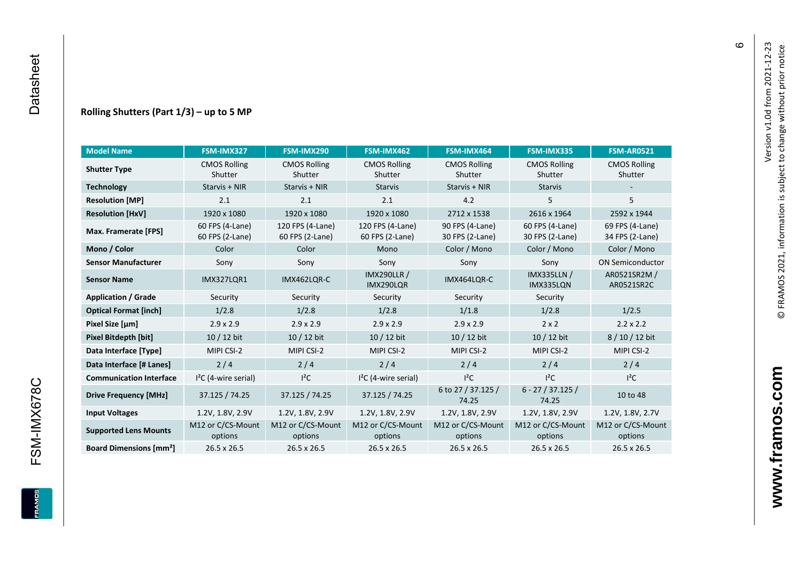#### **Rolling Shutters (Part 1/ 3 ) – up to 5 MP**

| <b>Model Name</b>                        | FSM-IMX327                         | FSM-IMX290                          | FSM-IMX462                                     | FSM-IMX464                         | FSM-IMX335                         | <b>FSM-AR0521</b>              |
|------------------------------------------|------------------------------------|-------------------------------------|------------------------------------------------|------------------------------------|------------------------------------|--------------------------------|
| <b>Shutter Type</b>                      | <b>CMOS Rolling</b><br>Shutter     | <b>CMOS Rolling</b><br>Shutter      | <b>CMOS Rolling</b><br>Shutter                 | <b>CMOS Rolling</b><br>Shutter     | <b>CMOS Rolling</b><br>Shutter     | <b>CMOS Rolling</b><br>Shutter |
| <b>Technology</b>                        | Starvis + NIR                      | Starvis + NIR                       | <b>Starvis</b>                                 | Starvis + NIR                      | <b>Starvis</b>                     |                                |
| <b>Resolution [MP]</b>                   | 2.1                                | 2.1                                 | 2.1                                            | 4.2                                | 5                                  | 5                              |
| <b>Resolution [HxV]</b>                  | 1920 x 1080                        | 1920 x 1080                         | 1920 x 1080                                    | 2712 x 1538                        | 2616 x 1964                        | 2592 x 1944                    |
| Max. Framerate [FPS]                     | 60 FPS (4-Lane)<br>60 FPS (2-Lane) | 120 FPS (4-Lane)<br>60 FPS (2-Lane) | 120 FPS (4-Lane)<br>60 FPS (2-Lane)            | 90 FPS (4-Lane)<br>30 FPS (2-Lane) | 60 FPS (4-Lane)<br>30 FPS (2-Lane) |                                |
| Mono / Color                             | Color                              | Color                               | Mono                                           | Color / Mono                       | Color / Mono                       | Color / Mono                   |
| <b>Sensor Manufacturer</b>               | Sony                               | Sony                                | Sony                                           | Sony                               | Sony                               | <b>ON Semiconductor</b>        |
| <b>Sensor Name</b>                       | <b>IMX327LOR1</b>                  | IMX462LOR-C                         | <b>IMX290LLR /</b><br>IMX464LQR-C<br>IMX290LQR |                                    | <b>IMX335LLN /</b><br>IMX335LQN    | AR0521SR2M /<br>AR0521SR2C     |
| <b>Application / Grade</b>               | Security                           | Security                            | Security                                       | Security                           | Security                           |                                |
| <b>Optical Format [inch]</b>             | 1/2.8                              | 1/2.8                               | 1/2.8                                          | 1/1.8                              |                                    | 1/2.5                          |
| Pixel Size [µm]                          | $2.9 \times 2.9$                   | $2.9 \times 2.9$                    | $2.9 \times 2.9$                               | $2.9 \times 2.9$                   | $2 \times 2$                       | $2.2 \times 2.2$               |
| <b>Pixel Bitdepth [bit]</b>              | 10 / 12 bit                        | 10 / 12 bit                         | 10 / 12 bit<br>10 / 12 bit                     |                                    | 10 / 12 bit                        | 8/10/12 bit                    |
| Data Interface [Type]                    | MIPI CSI-2                         | MIPI CSI-2                          | MIPI CSI-2                                     | MIPI CSI-2                         | MIPI CSI-2                         | MIPI CSI-2                     |
| Data Interface [# Lanes]                 | 2/4                                | 2/4                                 | 2/4                                            | 2/4                                | 2/4                                | 2/4                            |
| <b>Communication Interface</b>           | $I2C$ (4-wire serial)              | $l^2C$                              | $I2C$ (4-wire serial)                          | $I^2C$                             | $l^2C$                             | $l^2C$                         |
| <b>Drive Frequency [MHz]</b>             | 37.125 / 74.25<br>37.125 / 74.25   |                                     | 37.125 / 74.25                                 | 6 to 27 / 37.125 /<br>74.25        | $6 - 27 / 37.125 /$<br>74.25       | 10 to 48                       |
| <b>Input Voltages</b>                    | 1.2V, 1.8V, 2.9V                   | 1.2V, 1.8V, 2.9V                    | 1.2V, 1.8V, 2.9V                               | 1.2V, 1.8V, 2.9V                   | 1.2V, 1.8V, 2.9V                   | 1.2V, 1.8V, 2.7V               |
| <b>Supported Lens Mounts</b>             | M12 or C/CS-Mount<br>options       | M12 or C/CS-Mount<br>options        | M12 or C/CS-Mount<br>options                   | M12 or C/CS-Mount<br>options       | M12 or C/CS-Mount<br>options       | M12 or C/CS-Mount<br>options   |
| <b>Board Dimensions [mm<sup>2</sup>]</b> | $26.5 \times 26.5$                 | $26.5 \times 26.5$                  | 26.5 x 26.5                                    | $26.5 \times 26.5$                 | 26.5 x 26.5                        | 26.5 x 26.5                    |

 $\circ$ 

**www.framos.com**

www.framos.com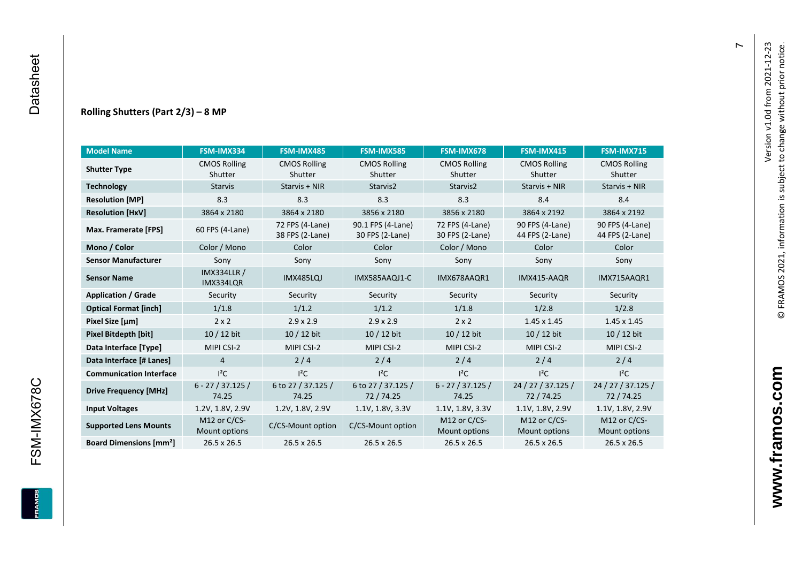#### **Rolling Shutters (Part 2/ 3 ) – 8 MP**

| <b>Model Name</b>                        | FSM-IMX334                                                  | FSM-IMX485                         | <b>FSM-IMX585</b>                    | FSM-IMX678                         | FSM-IMX415                         | <b>FSM-IMX715</b>                  |
|------------------------------------------|-------------------------------------------------------------|------------------------------------|--------------------------------------|------------------------------------|------------------------------------|------------------------------------|
| <b>Shutter Type</b>                      | <b>CMOS Rolling</b>                                         | <b>CMOS Rolling</b>                | <b>CMOS Rolling</b>                  | <b>CMOS Rolling</b>                | <b>CMOS Rolling</b>                | <b>CMOS Rolling</b>                |
|                                          | Shutter                                                     | Shutter                            | Shutter                              | Shutter                            | Shutter                            | Shutter                            |
| <b>Technology</b>                        | <b>Starvis</b>                                              | Starvis + NIR                      | Starvis2                             | Starvis2                           | Starvis + NIR                      | Starvis + NIR                      |
| <b>Resolution [MP]</b>                   | 8.3                                                         | 8.3                                | 8.3                                  | 8.3                                | 8.4                                | 8.4                                |
| <b>Resolution [HxV]</b>                  | 3864 x 2180                                                 | 3864 x 2180                        | 3856 x 2180                          | 3856 x 2180                        | 3864 x 2192                        | 3864 x 2192                        |
| Max. Framerate [FPS]                     | 60 FPS (4-Lane)                                             | 72 FPS (4-Lane)<br>38 FPS (2-Lane) | 90.1 FPS (4-Lane)<br>30 FPS (2-Lane) | 72 FPS (4-Lane)<br>30 FPS (2-Lane) | 90 FPS (4-Lane)<br>44 FPS (2-Lane) | 90 FPS (4-Lane)<br>44 FPS (2-Lane) |
| Mono / Color                             | Color / Mono                                                | Color                              | Color                                | Color / Mono                       | Color                              | Color                              |
| <b>Sensor Manufacturer</b>               | Sony                                                        | Sony                               | Sony                                 | Sony                               | Sony                               | Sony                               |
| <b>Sensor Name</b>                       | <b>IMX334LLR /</b><br>IMX334LQR                             | IMX485LQJ                          | IMX585AAQJ1-C                        | IMX678AAQR1                        | IMX415-AAQR                        | IMX715AAQR1                        |
| <b>Application / Grade</b>               | Security                                                    | Security                           | Security                             | Security                           | Security                           | Security                           |
| <b>Optical Format [inch]</b>             | 1/1.8                                                       | 1/1.2                              | 1/1.2                                | 1/1.8                              |                                    | 1/2.8                              |
| Pixel Size [µm]                          | $2 \times 2$                                                | $2.9 \times 2.9$                   | $2.9 \times 2.9$                     | $2 \times 2$                       | $1.45 \times 1.45$                 | $1.45 \times 1.45$                 |
| <b>Pixel Bitdepth [bit]</b>              | $10/12$ bit                                                 | 10 / 12 bit                        | 10 / 12 bit                          | 10 / 12 bit                        | $10/12$ bit                        | $10/12$ bit                        |
| Data Interface [Type]                    | MIPI CSI-2                                                  | MIPI CSI-2                         | MIPI CSI-2                           | MIPI CSI-2                         | MIPI CSI-2                         | MIPI CSI-2                         |
| Data Interface [# Lanes]                 | $\overline{4}$                                              | 2/4                                | 2/4                                  | 2/4                                | 2/4                                | 2/4                                |
| <b>Communication Interface</b>           | $I^2C$                                                      | $I^2C$                             | $I^2C$                               | $I^2C$                             | $I^2C$                             | $I^2C$                             |
| <b>Drive Frequency [MHz]</b>             | $6 - 27 / 37.125 /$<br>6 to 27 / 37.125 /<br>74.25<br>74.25 |                                    | 6 to 27 / 37.125 /<br>72/74.25       | $6 - 27 / 37.125 /$<br>74.25       | 24 / 27 / 37.125 /<br>72 / 74.25   | 24 / 27 / 37.125 /<br>72 / 74.25   |
| <b>Input Voltages</b>                    | 1.2V, 1.8V, 2.9V                                            | 1.2V, 1.8V, 2.9V                   | 1.1V, 1.8V, 3.3V                     | 1.1V, 1.8V, 3.3V                   | 1.1V, 1.8V, 2.9V                   | 1.1V, 1.8V, 2.9V                   |
| <b>Supported Lens Mounts</b>             | M12 or C/CS-<br>Mount options                               | C/CS-Mount option                  | C/CS-Mount option                    | M12 or C/CS-<br>Mount options      | M12 or C/CS-<br>Mount options      | M12 or C/CS-<br>Mount options      |
| <b>Board Dimensions [mm<sup>2</sup>]</b> | 26.5 x 26.5                                                 | 26.5 x 26.5                        | 26.5 x 26.5                          | 26.5 x 26.5                        | 26.5 x 26.5                        | 26.5 x 26.5                        |

 $\overline{r}$ 

FSM-IMX678C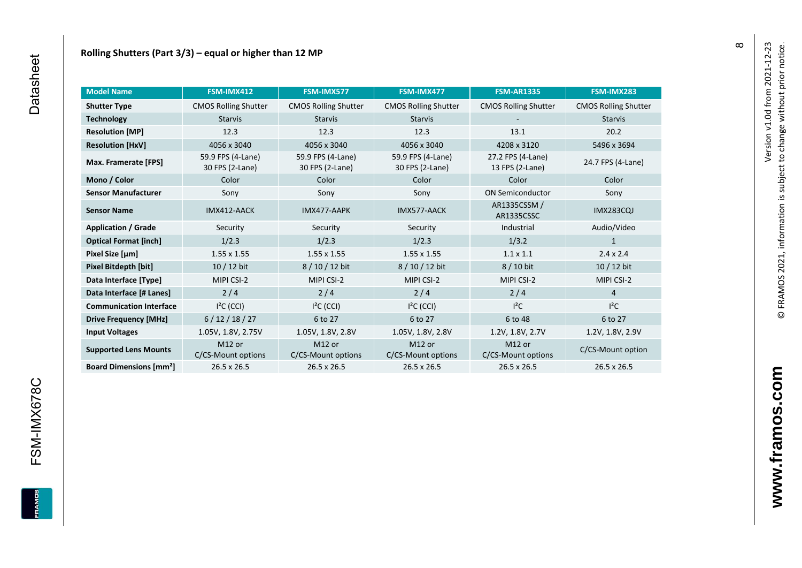| <b>Model Name</b>                        | FSM-IMX412                               | FSM-IMX577                               | FSM-IMX477                               | <b>FSM-AR1335</b>                        | FSM-IMX283                  |
|------------------------------------------|------------------------------------------|------------------------------------------|------------------------------------------|------------------------------------------|-----------------------------|
| <b>Shutter Type</b>                      | <b>CMOS Rolling Shutter</b>              | <b>CMOS Rolling Shutter</b>              | <b>CMOS Rolling Shutter</b>              | <b>CMOS Rolling Shutter</b>              | <b>CMOS Rolling Shutter</b> |
| <b>Technology</b>                        | <b>Starvis</b>                           | <b>Starvis</b>                           | <b>Starvis</b>                           |                                          | <b>Starvis</b>              |
| <b>Resolution [MP]</b>                   | 12.3                                     | 12.3                                     | 12.3                                     | 13.1                                     | 20.2                        |
| <b>Resolution [HxV]</b>                  | 4056 x 3040                              | 4056 x 3040                              | 4056 x 3040                              | 4208 x 3120                              | 5496 x 3694                 |
| Max. Framerate [FPS]                     | 59.9 FPS (4-Lane)<br>30 FPS (2-Lane)     | 59.9 FPS (4-Lane)<br>30 FPS (2-Lane)     | 59.9 FPS (4-Lane)<br>30 FPS (2-Lane)     | 27.2 FPS (4-Lane)<br>13 FPS (2-Lane)     | 24.7 FPS (4-Lane)           |
| Mono / Color                             | Color                                    | Color                                    | Color                                    | Color                                    | Color                       |
| <b>Sensor Manufacturer</b>               | Sony                                     | Sony                                     | Sony                                     | <b>ON Semiconductor</b>                  | Sony                        |
| <b>Sensor Name</b>                       | IMX412-AACK                              | IMX477-AAPK                              | IMX577-AACK                              | AR1335CSSM /<br>AR1335CSSC               | <b>IMX283CQJ</b>            |
| <b>Application / Grade</b>               | Security                                 | Security                                 | Security                                 | Industrial                               | Audio/Video                 |
| <b>Optical Format [inch]</b>             | 1/2.3                                    | 1/2.3                                    | 1/2.3                                    | 1/3.2                                    | $\mathbf{1}$                |
| Pixel Size [µm]                          | $1.55 \times 1.55$                       | $1.55 \times 1.55$                       | $1.55 \times 1.55$                       | $1.1 \times 1.1$                         | $2.4 \times 2.4$            |
| Pixel Bitdepth [bit]                     | 10 / 12 bit                              | 8 / 10 / 12 bit                          | 8 / 10 / 12 bit                          | 8 / 10 bit                               | 10 / 12 bit                 |
| Data Interface [Type]                    | MIPI CSI-2                               | MIPI CSI-2                               | MIPI CSI-2                               | MIPI CSI-2                               | MIPI CSI-2                  |
| Data Interface [# Lanes]                 | 2/4                                      | 2/4                                      | 2/4                                      | 2/4                                      | $\overline{4}$              |
| <b>Communication Interface</b>           | $I2C$ (CCI)                              | $I2C$ (CCI)                              | $I2C$ (CCI)                              | $I^2C$                                   | $I^2C$                      |
| <b>Drive Frequency [MHz]</b>             | 6/12/18/27                               | 6 to 27                                  | 6 to 27                                  | 6 to 48                                  | 6 to 27                     |
| <b>Input Voltages</b>                    | 1.05V, 1.8V, 2.75V                       | 1.05V, 1.8V, 2.8V                        | 1.05V, 1.8V, 2.8V                        | 1.2V, 1.8V, 2.7V                         | 1.2V, 1.8V, 2.9V            |
| <b>Supported Lens Mounts</b>             | M <sub>12</sub> or<br>C/CS-Mount options | M <sub>12</sub> or<br>C/CS-Mount options | M <sub>12</sub> or<br>C/CS-Mount options | M <sub>12</sub> or<br>C/CS-Mount options | C/CS-Mount option           |
| <b>Board Dimensions [mm<sup>2</sup>]</b> | 26.5 x 26.5                              | 26.5 x 26.5                              | 26.5 x 26.5                              | 26.5 x 26.5                              | 26.5 x 26.5                 |

**FRAMOS** 

 $\infty$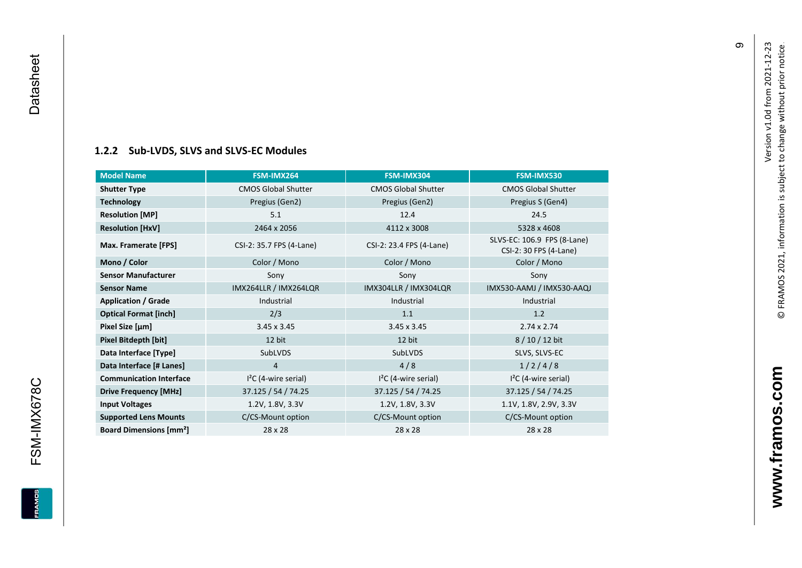#### **[1.2.2](#page-0-7) Sub -LVDS, SLVS and SLVS -EC Modules**

<span id="page-10-0"></span>

| <b>Model Name</b>                        | FSM-IMX264                 | FSM-IMX304                 | FSM-IMX530                                            |
|------------------------------------------|----------------------------|----------------------------|-------------------------------------------------------|
| <b>Shutter Type</b>                      | <b>CMOS Global Shutter</b> | <b>CMOS Global Shutter</b> | <b>CMOS Global Shutter</b>                            |
| <b>Technology</b>                        | Pregius (Gen2)             | Pregius (Gen2)             | Pregius S (Gen4)                                      |
| <b>Resolution [MP]</b>                   | 5.1                        | 12.4                       | 24.5                                                  |
| <b>Resolution [HxV]</b>                  | 2464 x 2056                | 4112 x 3008                | 5328 x 4608                                           |
| Max. Framerate [FPS]                     | CSI-2: 35.7 FPS (4-Lane)   | CSI-2: 23.4 FPS (4-Lane)   | SLVS-EC: 106.9 FPS (8-Lane)<br>CSI-2: 30 FPS (4-Lane) |
| Mono / Color                             | Color / Mono               | Color / Mono               | Color / Mono                                          |
| <b>Sensor Manufacturer</b>               | Sony                       | Sony                       | Sony                                                  |
| <b>Sensor Name</b>                       | IMX264LLR / IMX264LQR      | IMX304LLR / IMX304LQR      | IMX530-AAMJ / IMX530-AAQJ                             |
| <b>Application / Grade</b>               | Industrial                 | Industrial                 | Industrial                                            |
| <b>Optical Format [inch]</b>             | 2/3                        | 1.1                        | 1.2                                                   |
| Pixel Size [µm]                          | $3.45 \times 3.45$         | $3.45 \times 3.45$         | $2.74 \times 2.74$                                    |
| Pixel Bitdepth [bit]                     | 12 bit                     | 12 bit                     | 8/10/12 bit                                           |
| Data Interface [Type]                    | SubLVDS                    | SubLVDS                    | SLVS, SLVS-EC                                         |
| Data Interface [# Lanes]                 | $\overline{4}$             | 4/8                        | 1/2/4/8                                               |
| <b>Communication Interface</b>           | $I2C$ (4-wire serial)      | $I2C$ (4-wire serial)      | $I2C$ (4-wire serial)                                 |
| <b>Drive Frequency [MHz]</b>             | 37.125 / 54 / 74.25        | 37.125 / 54 / 74.25        | 37.125 / 54 / 74.25                                   |
| <b>Input Voltages</b>                    | 1.2V, 1.8V, 3.3V           | 1.2V, 1.8V, 3.3V           | 1.1V, 1.8V, 2.9V, 3.3V                                |
| <b>Supported Lens Mounts</b>             | C/CS-Mount option          | C/CS-Mount option          | C/CS-Mount option                                     |
| <b>Board Dimensions [mm<sup>2</sup>]</b> | 28 x 28                    | 28 x 28                    | 28 x 28                                               |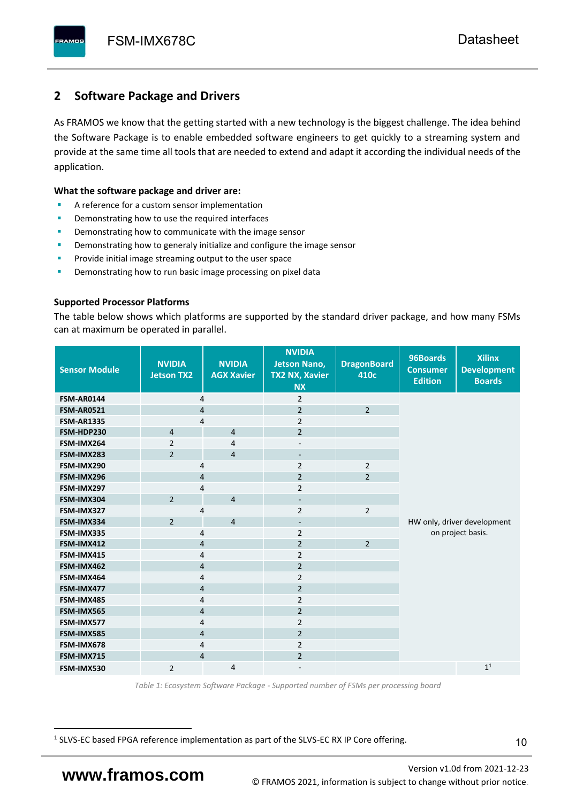# <span id="page-11-0"></span>**2 Software Package and Drivers**

As FRAMOS we know that the getting started with a new technology is the biggest challenge. The idea behind the Software Package is to enable embedded software engineers to get quickly to a streaming system and provide at the same time all tools that are needed to extend and adapt it according the individual needs of the application.

#### **What the software package and driver are:**

- A reference for a custom sensor implementation
- Demonstrating how to use the required interfaces
- Demonstrating how to communicate with the image sensor
- Demonstrating how to generaly initialize and configure the image sensor
- Provide initial image streaming output to the user space
- Demonstrating how to run basic image processing on pixel data

#### **Supported Processor Platforms**

The table below shows which platforms are supported by the standard driver package, and how many FSMs can at maximum be operated in parallel.

| <b>Sensor Module</b> | <b>NVIDIA</b><br><b>Jetson TX2</b> | <b>NVIDIA</b><br><b>AGX Xavier</b> | <b>NVIDIA</b><br><b>Jetson Nano,</b><br><b>TX2 NX, Xavier</b><br><b>NX</b> | <b>DragonBoard</b><br>410c | 96Boards<br><b>Consumer</b><br><b>Edition</b> | <b>Xilinx</b><br><b>Development</b><br><b>Boards</b> |
|----------------------|------------------------------------|------------------------------------|----------------------------------------------------------------------------|----------------------------|-----------------------------------------------|------------------------------------------------------|
| <b>FSM-AR0144</b>    | $\overline{4}$                     |                                    | $\overline{2}$                                                             |                            |                                               |                                                      |
| <b>FSM-AR0521</b>    | $\overline{4}$                     |                                    | $\overline{2}$                                                             | $\overline{2}$             |                                               |                                                      |
| <b>FSM-AR1335</b>    | 4                                  |                                    | $\overline{2}$                                                             |                            |                                               |                                                      |
| FSM-HDP230           | $\overline{4}$                     | $\overline{4}$                     | $\overline{2}$                                                             |                            |                                               |                                                      |
| FSM-IMX264           | $\overline{2}$                     | $\overline{4}$                     | $\overline{\phantom{a}}$                                                   |                            |                                               |                                                      |
| FSM-IMX283           | $\overline{2}$                     | $\overline{4}$                     | $\overline{\phantom{a}}$                                                   |                            |                                               |                                                      |
| FSM-IMX290           | 4                                  |                                    | $\overline{2}$                                                             | $\overline{2}$             |                                               |                                                      |
| FSM-IMX296           | 4                                  |                                    | $\overline{2}$                                                             | $\overline{2}$             |                                               |                                                      |
| FSM-IMX297           | 4                                  |                                    | $\overline{2}$                                                             |                            |                                               |                                                      |
| FSM-IMX304           | $\overline{2}$                     | $\overline{4}$                     | $\overline{\phantom{a}}$                                                   |                            |                                               |                                                      |
| FSM-IMX327           | 4                                  |                                    | $\overline{2}$                                                             | $\overline{2}$             |                                               |                                                      |
| FSM-IMX334           | $\overline{2}$                     | $\overline{4}$                     | $\overline{\phantom{0}}$                                                   |                            |                                               | HW only, driver development                          |
| FSM-IMX335           | 4                                  |                                    | $\overline{2}$                                                             |                            |                                               | on project basis.                                    |
| FSM-IMX412           | $\overline{4}$                     |                                    | $\overline{2}$                                                             | $\overline{2}$             |                                               |                                                      |
| FSM-IMX415           | $\overline{4}$                     |                                    | $\overline{2}$                                                             |                            |                                               |                                                      |
| FSM-IMX462           | $\overline{4}$                     |                                    | $\overline{2}$                                                             |                            |                                               |                                                      |
| FSM-IMX464           | 4                                  |                                    | $\overline{2}$                                                             |                            |                                               |                                                      |
| FSM-IMX477           | 4                                  |                                    | $\overline{2}$                                                             |                            |                                               |                                                      |
| FSM-IMX485           | 4                                  |                                    | $\overline{2}$                                                             |                            |                                               |                                                      |
| FSM-IMX565           | $\overline{4}$                     |                                    | $\overline{2}$                                                             |                            |                                               |                                                      |
| FSM-IMX577           | $\overline{4}$                     |                                    | $\overline{2}$                                                             |                            |                                               |                                                      |
| FSM-IMX585           | $\overline{4}$                     |                                    | $\overline{2}$                                                             |                            |                                               |                                                      |
| FSM-IMX678           | 4                                  |                                    | $\overline{2}$                                                             |                            |                                               |                                                      |
| FSM-IMX715           | $\overline{4}$                     |                                    | $\overline{2}$                                                             |                            |                                               |                                                      |
| FSM-IMX530           | $\overline{2}$                     | $\overline{4}$                     |                                                                            |                            |                                               | 1 <sup>1</sup>                                       |

*Table 1: Ecosystem Software Package - Supported number of FSMs per processing board*

<sup>1</sup> SLVS-EC based FPGA reference implementation as part of the SLVS-EC RX IP Core offering.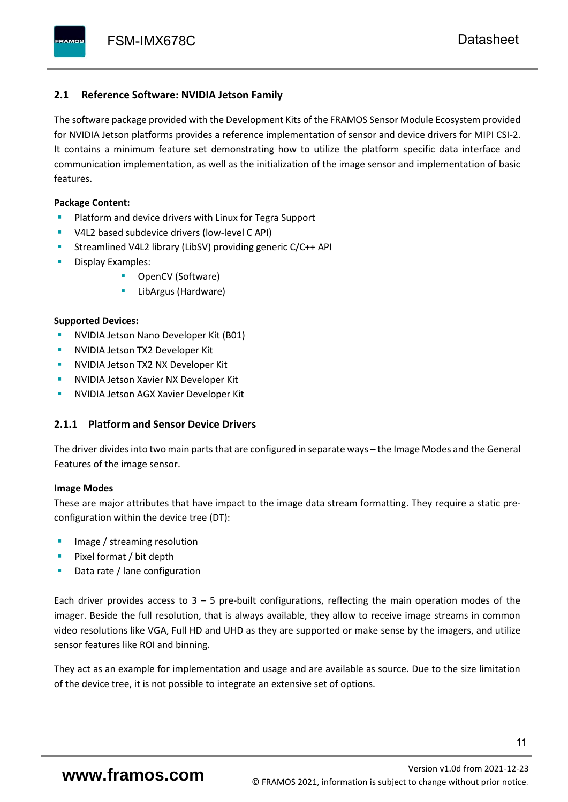#### <span id="page-12-0"></span>**2.1 Reference Software: NVIDIA Jetson Family**

The software package provided with the Development Kits of the FRAMOS Sensor Module Ecosystem provided for NVIDIA Jetson platforms provides a reference implementation of sensor and device drivers for MIPI CSI-2. It contains a minimum feature set demonstrating how to utilize the platform specific data interface and communication implementation, as well as the initialization of the image sensor and implementation of basic features.

#### **Package Content:**

- Platform and device drivers with Linux for Tegra Support
- V4L2 based subdevice drivers (low-level C API)
- Streamlined V4L2 library (LibSV) providing generic C/C++ API
- Display Examples:
	- OpenCV (Software)
	- LibArgus (Hardware)

#### **Supported Devices:**

- **NVIDIA Jetson Nano Developer Kit (B01)**
- **NVIDIA Jetson TX2 Developer Kit**
- NVIDIA Jetson TX2 NX Developer Kit
- **NVIDIA Jetson Xavier NX Developer Kit**
- **NVIDIA Jetson AGX Xavier Developer Kit**

### <span id="page-12-1"></span>**2.1.1 Platform and Sensor Device Drivers**

The driver divides into two main parts that are configured in separate ways – the Image Modes and the General Features of the image sensor.

#### **Image Modes**

These are major attributes that have impact to the image data stream formatting. They require a static preconfiguration within the device tree (DT):

- Image / streaming resolution
- Pixel format / bit depth
- Data rate / lane configuration

Each driver provides access to  $3 - 5$  pre-built configurations, reflecting the main operation modes of the imager. Beside the full resolution, that is always available, they allow to receive image streams in common video resolutions like VGA, Full HD and UHD as they are supported or make sense by the imagers, and utilize sensor features like ROI and binning.

They act as an example for implementation and usage and are available as source. Due to the size limitation of the device tree, it is not possible to integrate an extensive set of options.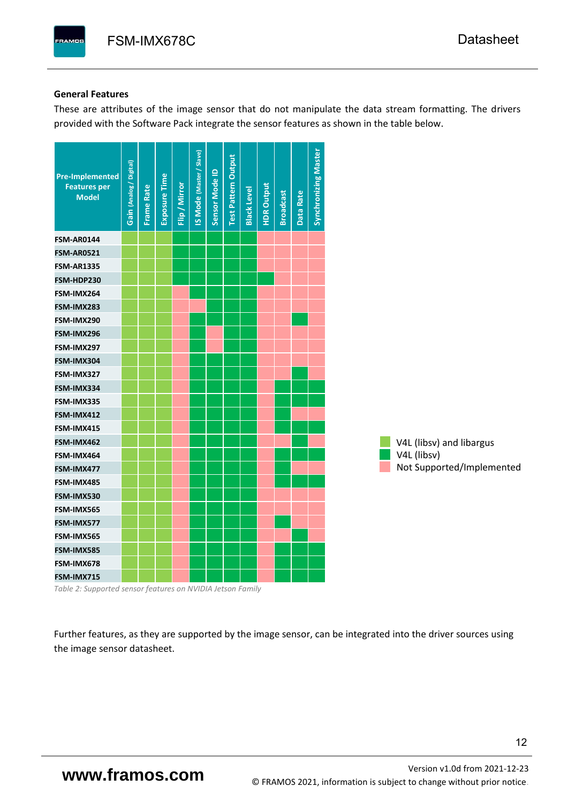#### **General Features**

These are attributes of the image sensor that do not manipulate the data stream formatting. The drivers provided with the Software Pack integrate the sensor features as shown in the table below.

| <b>Pre-Implemented</b><br><b>Features per</b><br><b>Model</b> | Gain (Analog / Digital) | <b>Frame Rate</b> | Exposure Time | Flip / Mirror | <b>IS Mode (Master / Slave)</b> | Sensor Mode ID | <b>Test Pattern Output</b> | <b>Black Level</b> | <b>HDR Output</b> | <b>Broadcast</b> | Data Rate | <b>Synchronizing Master</b> |                           |
|---------------------------------------------------------------|-------------------------|-------------------|---------------|---------------|---------------------------------|----------------|----------------------------|--------------------|-------------------|------------------|-----------|-----------------------------|---------------------------|
| <b>FSM-AR0144</b>                                             |                         |                   |               |               |                                 |                |                            |                    |                   |                  |           |                             |                           |
| <b>FSM-AR0521</b>                                             |                         |                   |               |               |                                 |                |                            |                    |                   |                  |           |                             |                           |
| <b>FSM-AR1335</b>                                             |                         |                   |               |               |                                 |                |                            |                    |                   |                  |           |                             |                           |
| FSM-HDP230                                                    |                         |                   |               |               |                                 |                |                            |                    |                   |                  |           |                             |                           |
| FSM-IMX264                                                    |                         |                   |               |               |                                 |                |                            |                    |                   |                  |           |                             |                           |
| FSM-IMX283                                                    |                         |                   |               |               |                                 |                |                            |                    |                   |                  |           |                             |                           |
| FSM-IMX290                                                    |                         |                   |               |               |                                 |                |                            |                    |                   |                  |           |                             |                           |
| FSM-IMX296                                                    |                         |                   |               |               |                                 |                |                            |                    |                   |                  |           |                             |                           |
| FSM-IMX297                                                    |                         |                   |               |               |                                 |                |                            |                    |                   |                  |           |                             |                           |
| FSM-IMX304                                                    |                         |                   |               |               |                                 |                |                            |                    |                   |                  |           |                             |                           |
| FSM-IMX327                                                    |                         |                   |               |               |                                 |                |                            |                    |                   |                  |           |                             |                           |
| FSM-IMX334                                                    |                         |                   |               |               |                                 |                |                            |                    |                   |                  |           |                             |                           |
| FSM-IMX335                                                    |                         |                   |               |               |                                 |                |                            |                    |                   |                  |           |                             |                           |
| FSM-IMX412                                                    |                         |                   |               |               |                                 |                |                            |                    |                   |                  |           |                             |                           |
| FSM-IMX415                                                    |                         |                   |               |               |                                 |                |                            |                    |                   |                  |           |                             |                           |
| FSM-IMX462                                                    |                         |                   |               |               |                                 |                |                            |                    |                   |                  |           |                             | V4L (libsv) and libargus  |
| FSM-IMX464                                                    |                         |                   |               |               |                                 |                |                            |                    |                   |                  |           |                             | V4L (libsv)               |
| FSM-IMX477                                                    |                         |                   |               |               |                                 |                |                            |                    |                   |                  |           |                             | Not Supported/Implemented |
| FSM-IMX485                                                    |                         |                   |               |               |                                 |                |                            |                    |                   |                  |           |                             |                           |
| FSM-IMX530                                                    |                         |                   |               |               |                                 |                |                            |                    |                   |                  |           |                             |                           |
| FSM-IMX565                                                    |                         |                   |               |               |                                 |                |                            |                    |                   |                  |           |                             |                           |
| FSM-IMX577                                                    |                         |                   |               |               |                                 |                |                            |                    |                   |                  |           |                             |                           |
| FSM-IMX565                                                    |                         |                   |               |               |                                 |                |                            |                    |                   |                  |           |                             |                           |
| FSM-IMX585                                                    |                         |                   |               |               |                                 |                |                            |                    |                   |                  |           |                             |                           |
| FSM-IMX678                                                    |                         |                   |               |               |                                 |                |                            |                    |                   |                  |           |                             |                           |
| FSM-IMX715                                                    |                         |                   |               |               |                                 |                |                            |                    |                   |                  |           |                             |                           |

*Table 2: Supported sensor features on NVIDIA Jetson Family*

Further features, as they are supported by the image sensor, can be integrated into the driver sources using the image sensor datasheet.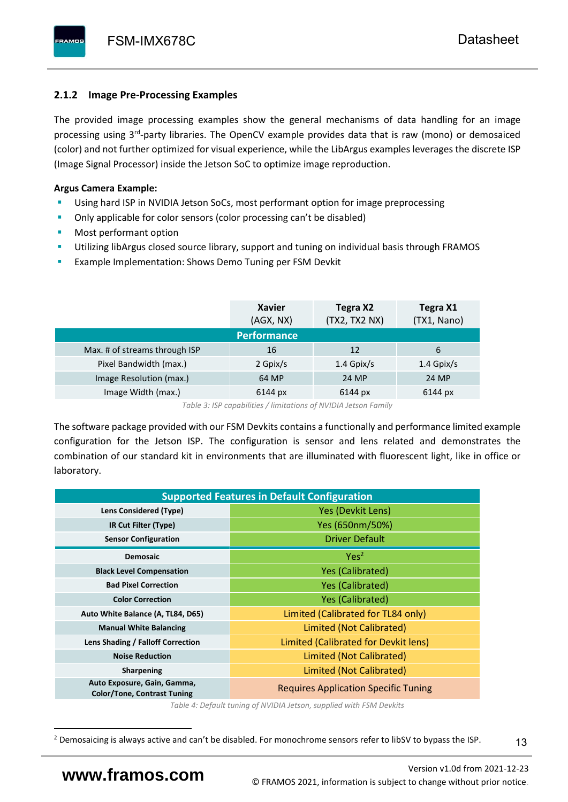# <span id="page-14-0"></span>**2.1.2 Image Pre-Processing Examples**

The provided image processing examples show the general mechanisms of data handling for an image processing using 3<sup>rd</sup>-party libraries. The OpenCV example provides data that is raw (mono) or demosaiced (color) and not further optimized for visual experience, while the LibArgus examples leverages the discrete ISP (Image Signal Processor) inside the Jetson SoC to optimize image reproduction.

## **Argus Camera Example:**

- Using hard ISP in NVIDIA Jetson SoCs, most performant option for image preprocessing
- Only applicable for color sensors (color processing can't be disabled)
- Most performant option
- Utilizing libArgus closed source library, support and tuning on individual basis through FRAMOS
- Example Implementation: Shows Demo Tuning per FSM Devkit

|                               | <b>Xavier</b><br>(AGX, NX) | Tegra X2<br>(TX2, TX2 NX) | Tegra X1<br>(TX1, Nano) |
|-------------------------------|----------------------------|---------------------------|-------------------------|
|                               | <b>Performance</b>         |                           |                         |
| Max. # of streams through ISP | 16                         | 12                        | 6                       |
| Pixel Bandwidth (max.)        | 2 Gpix/s                   | $1.4$ Gpix/s              | $1.4$ Gpix/s            |
| Image Resolution (max.)       | 64 MP                      | 24 MP                     | 24 MP                   |
| Image Width (max.)            | 6144 px                    | 6144 px                   | 6144 px                 |

*Table 3: ISP capabilities / limitations of NVIDIA Jetson Family*

The software package provided with our FSM Devkits contains a functionally and performance limited example configuration for the Jetson ISP. The configuration is sensor and lens related and demonstrates the combination of our standard kit in environments that are illuminated with fluorescent light, like in office or laboratory.

| <b>Supported Features in Default Configuration</b>                |                                             |  |  |  |  |  |  |
|-------------------------------------------------------------------|---------------------------------------------|--|--|--|--|--|--|
| Lens Considered (Type)                                            | Yes (Devkit Lens)                           |  |  |  |  |  |  |
| IR Cut Filter (Type)                                              | Yes (650nm/50%)                             |  |  |  |  |  |  |
| <b>Sensor Configuration</b>                                       | <b>Driver Default</b>                       |  |  |  |  |  |  |
| <b>Demosaic</b>                                                   | Yes <sup>2</sup>                            |  |  |  |  |  |  |
| <b>Black Level Compensation</b>                                   | <b>Yes (Calibrated)</b>                     |  |  |  |  |  |  |
| <b>Bad Pixel Correction</b>                                       | <b>Yes (Calibrated)</b>                     |  |  |  |  |  |  |
| <b>Color Correction</b>                                           | <b>Yes (Calibrated)</b>                     |  |  |  |  |  |  |
| Auto White Balance (A, TL84, D65)                                 | Limited (Calibrated for TL84 only)          |  |  |  |  |  |  |
| <b>Manual White Balancing</b>                                     | Limited (Not Calibrated)                    |  |  |  |  |  |  |
| Lens Shading / Falloff Correction                                 | Limited (Calibrated for Devkit lens)        |  |  |  |  |  |  |
| <b>Noise Reduction</b>                                            | Limited (Not Calibrated)                    |  |  |  |  |  |  |
| <b>Sharpening</b>                                                 | Limited (Not Calibrated)                    |  |  |  |  |  |  |
| Auto Exposure, Gain, Gamma,<br><b>Color/Tone, Contrast Tuning</b> | <b>Requires Application Specific Tuning</b> |  |  |  |  |  |  |

*Table 4: Default tuning of NVIDIA Jetson, supplied with FSM Devkits*

<sup>&</sup>lt;sup>2</sup> Demosaicing is always active and can't be disabled. For monochrome sensors refer to libSV to bypass the ISP.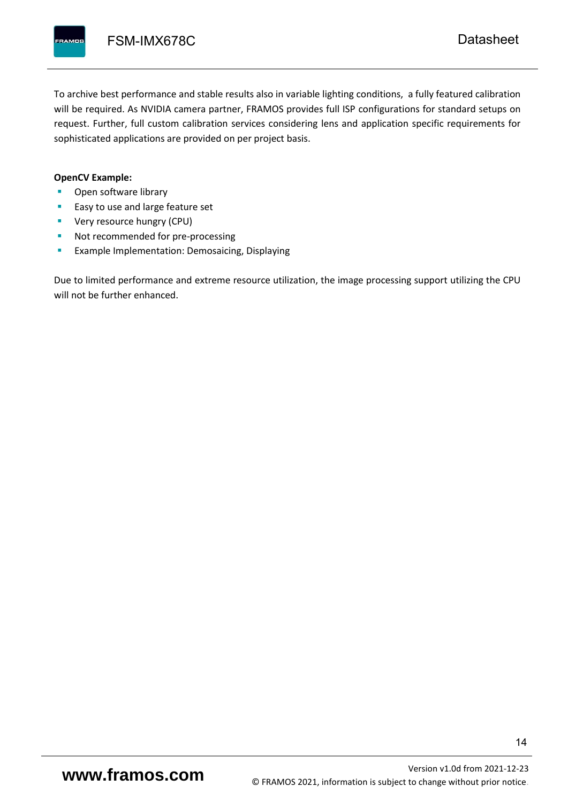To archive best performance and stable results also in variable lighting conditions, a fully featured calibration will be required. As NVIDIA camera partner, FRAMOS provides full ISP configurations for standard setups on request. Further, full custom calibration services considering lens and application specific requirements for sophisticated applications are provided on per project basis.

#### **OpenCV Example:**

- Open software library
- Easy to use and large feature set
- **•** Very resource hungry (CPU)
- Not recommended for pre-processing
- **Example Implementation: Demosaicing, Displaying**

Due to limited performance and extreme resource utilization, the image processing support utilizing the CPU will not be further enhanced.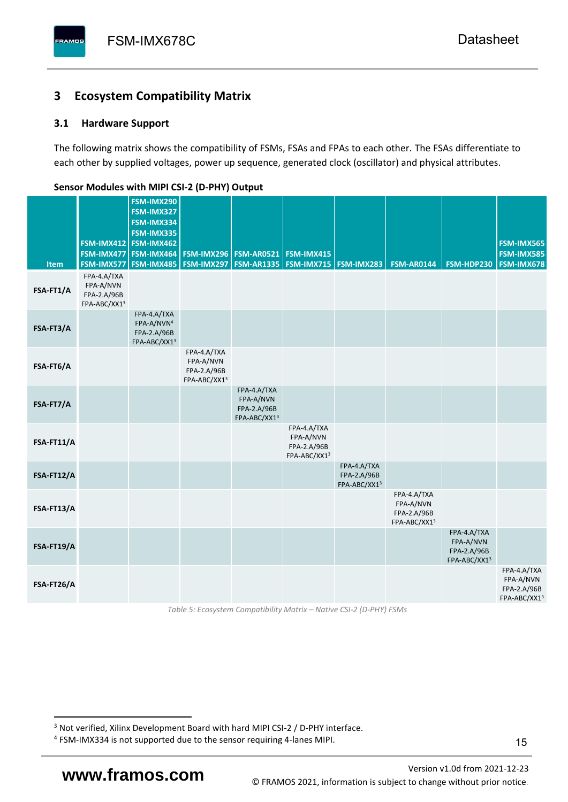# <span id="page-16-0"></span>**3 Ecosystem Compatibility Matrix**

## <span id="page-16-1"></span>**3.1 Hardware Support**

The following matrix shows the compatibility of FSMs, FSAs and FPAs to each other. The FSAs differentiate to each other by supplied voltages, power up sequence, generated clock (oscillator) and physical attributes.

| <b>Item</b> | FSM-IMX477<br>FSM-IMX577                                | FSM-IMX290<br>FSM-IMX327<br>FSM-IMX334<br>FSM-IMX335<br>FSM-IMX412 FSM-IMX462<br>FSM-IMX464<br><b>FSM-IMX485</b> | <b>FSM-IMX296</b><br>FSM-IMX297                         | <b>FSM-AR0521</b><br><b>FSM-AR1335</b>                  | FSM-IMX415<br><b>FSM-IMX715 FSM-IMX283</b>              |                                            | <b>FSM-AR0144</b>                                       | FSM-HDP230                                              | FSM-IMX565<br>FSM-IMX585<br>FSM-IMX678                  |
|-------------|---------------------------------------------------------|------------------------------------------------------------------------------------------------------------------|---------------------------------------------------------|---------------------------------------------------------|---------------------------------------------------------|--------------------------------------------|---------------------------------------------------------|---------------------------------------------------------|---------------------------------------------------------|
| FSA-FT1/A   | FPA-4.A/TXA<br>FPA-A/NVN<br>FPA-2.A/96B<br>FPA-ABC/XX13 |                                                                                                                  |                                                         |                                                         |                                                         |                                            |                                                         |                                                         |                                                         |
| FSA-FT3/A   |                                                         | FPA-4.A/TXA<br>FPA-A/NVN <sup>4</sup><br>FPA-2.A/96B<br>FPA-ABC/XX13                                             |                                                         |                                                         |                                                         |                                            |                                                         |                                                         |                                                         |
| FSA-FT6/A   |                                                         |                                                                                                                  | FPA-4.A/TXA<br>FPA-A/NVN<br>FPA-2.A/96B<br>FPA-ABC/XX13 |                                                         |                                                         |                                            |                                                         |                                                         |                                                         |
| FSA-FT7/A   |                                                         |                                                                                                                  |                                                         | FPA-4.A/TXA<br>FPA-A/NVN<br>FPA-2.A/96B<br>FPA-ABC/XX13 |                                                         |                                            |                                                         |                                                         |                                                         |
| FSA-FT11/A  |                                                         |                                                                                                                  |                                                         |                                                         | FPA-4.A/TXA<br>FPA-A/NVN<br>FPA-2.A/96B<br>FPA-ABC/XX13 |                                            |                                                         |                                                         |                                                         |
| FSA-FT12/A  |                                                         |                                                                                                                  |                                                         |                                                         |                                                         | FPA-4.A/TXA<br>FPA-2.A/96B<br>FPA-ABC/XX13 |                                                         |                                                         |                                                         |
| FSA-FT13/A  |                                                         |                                                                                                                  |                                                         |                                                         |                                                         |                                            | FPA-4.A/TXA<br>FPA-A/NVN<br>FPA-2.A/96B<br>FPA-ABC/XX13 |                                                         |                                                         |
| FSA-FT19/A  |                                                         |                                                                                                                  |                                                         |                                                         |                                                         |                                            |                                                         | FPA-4.A/TXA<br>FPA-A/NVN<br>FPA-2.A/96B<br>FPA-ABC/XX13 |                                                         |
| FSA-FT26/A  |                                                         |                                                                                                                  |                                                         |                                                         |                                                         |                                            |                                                         |                                                         | FPA-4.A/TXA<br>FPA-A/NVN<br>FPA-2.A/96B<br>FPA-ABC/XX13 |

#### <span id="page-16-2"></span>**Sensor Modules with MIPI CSI-2 (D-PHY) Output**

*Table 5: Ecosystem Compatibility Matrix – Native CSI-2 (D-PHY) FSMs*

Version [v1.0d](#page-0-3) from 2021-12-23 **www.framos.com** © FRAMOS 2021, [information is subject to change without prior notice.](mailto:sales@framos.de)

<sup>&</sup>lt;sup>3</sup> Not verified, Xilinx Development Board with hard MIPI CSI-2 / D-PHY interface.

<sup>4</sup> FSM-IMX334 is not supported due to the sensor requiring 4-lanes MIPI.